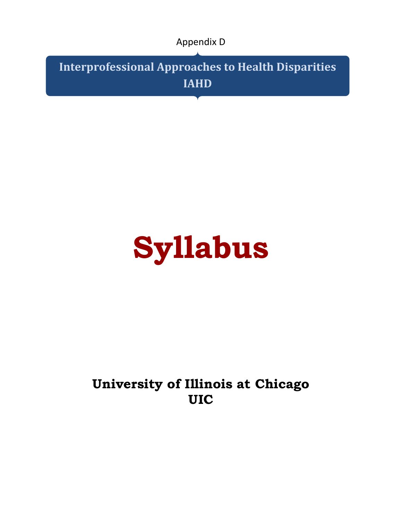Appendix D

**Interprofessional Approaches to Health Disparities IAHD**

# **Syllabus**

# **University of Illinois at Chicago UIC**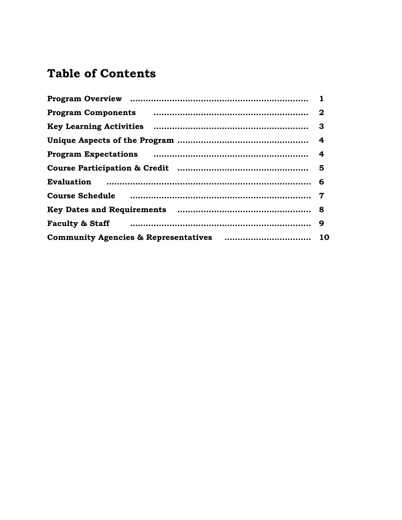## **Table of Contents**

| Program Components (and the communication of the community of the community of the community of the community of the community of the community of the community of the community of the community of the community of the com<br>9 |  |
|-------------------------------------------------------------------------------------------------------------------------------------------------------------------------------------------------------------------------------------|--|
|                                                                                                                                                                                                                                     |  |
|                                                                                                                                                                                                                                     |  |
|                                                                                                                                                                                                                                     |  |
|                                                                                                                                                                                                                                     |  |
|                                                                                                                                                                                                                                     |  |
|                                                                                                                                                                                                                                     |  |
|                                                                                                                                                                                                                                     |  |
|                                                                                                                                                                                                                                     |  |
|                                                                                                                                                                                                                                     |  |
|                                                                                                                                                                                                                                     |  |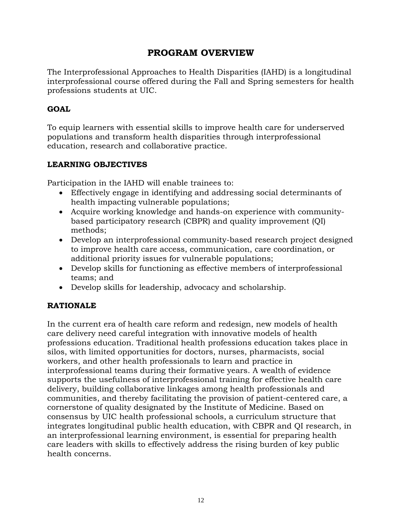## **PROGRAM OVERVIEW**

The Interprofessional Approaches to Health Disparities (IAHD) is a longitudinal interprofessional course offered during the Fall and Spring semesters for health professions students at UIC.

### **GOAL**

To equip learners with essential skills to improve health care for underserved populations and transform health disparities through interprofessional education, research and collaborative practice.

#### **LEARNING OBJECTIVES**

Participation in the IAHD will enable trainees to:

- Effectively engage in identifying and addressing social determinants of health impacting vulnerable populations;
- Acquire working knowledge and hands-on experience with communitybased participatory research (CBPR) and quality improvement (QI) methods;
- Develop an interprofessional community-based research project designed to improve health care access, communication, care coordination, or additional priority issues for vulnerable populations;
- Develop skills for functioning as effective members of interprofessional teams; and
- Develop skills for leadership, advocacy and scholarship.

#### **RATIONALE**

In the current era of health care reform and redesign, new models of health care delivery need careful integration with innovative models of health professions education. Traditional health professions education takes place in silos, with limited opportunities for doctors, nurses, pharmacists, social workers, and other health professionals to learn and practice in interprofessional teams during their formative years. A wealth of evidence supports the usefulness of interprofessional training for effective health care delivery, building collaborative linkages among health professionals and communities, and thereby facilitating the provision of patient-centered care, a cornerstone of quality designated by the Institute of Medicine. Based on consensus by UIC health professional schools, a curriculum structure that integrates longitudinal public health education, with CBPR and QI research, in an interprofessional learning environment, is essential for preparing health care leaders with skills to effectively address the rising burden of key public health concerns.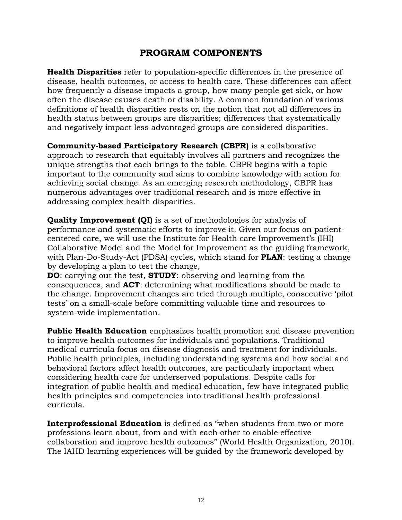## **PROGRAM COMPONENTS**

**Health Disparities** refer to population-specific differences in the presence of disease, health outcomes, or access to health care. These differences can affect how frequently a disease impacts a group, how many people get sick, or how often the disease causes death or disability. A common foundation of various definitions of health disparities rests on the notion that not all differences in health status between groups are disparities; differences that systematically and negatively impact less advantaged groups are considered disparities.

**Community-based Participatory Research (CBPR)** is a collaborative approach to research that equitably involves all partners and recognizes the unique strengths that each brings to the table. CBPR begins with a topic important to the community and aims to combine knowledge with action for achieving social change. As an emerging research methodology, CBPR has numerous advantages over traditional research and is more effective in addressing complex health disparities.

**Quality Improvement (QI)** is a set of methodologies for analysis of performance and systematic efforts to improve it. Given our focus on patientcentered care, we will use the Institute for Health care Improvement's (IHI) Collaborative Model and the Model for Improvement as the guiding framework, with Plan-Do-Study-Act (PDSA) cycles, which stand for **PLAN**: testing a change by developing a plan to test the change,

**DO**: carrying out the test, **STUDY**: observing and learning from the consequences, and **ACT**: determining what modifications should be made to the change. Improvement changes are tried through multiple, consecutive 'pilot tests' on a small-scale before committing valuable time and resources to system-wide implementation.

**Public Health Education** emphasizes health promotion and disease prevention to improve health outcomes for individuals and populations. Traditional medical curricula focus on disease diagnosis and treatment for individuals. Public health principles, including understanding systems and how social and behavioral factors affect health outcomes, are particularly important when considering health care for underserved populations. Despite calls for integration of public health and medical education, few have integrated public health principles and competencies into traditional health professional curricula.

**Interprofessional Education** is defined as "when students from two or more professions learn about, from and with each other to enable effective collaboration and improve health outcomes" (World Health Organization, 2010). The IAHD learning experiences will be guided by the framework developed by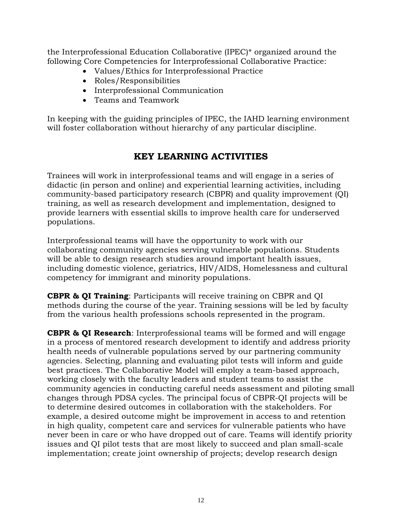the Interprofessional Education Collaborative (IPEC)\* organized around the following Core Competencies for Interprofessional Collaborative Practice:

- Values/Ethics for Interprofessional Practice
- Roles/Responsibilities
- Interprofessional Communication
- Teams and Teamwork

In keeping with the guiding principles of IPEC, the IAHD learning environment will foster collaboration without hierarchy of any particular discipline.

## **KEY LEARNING ACTIVITIES**

Trainees will work in interprofessional teams and will engage in a series of didactic (in person and online) and experiential learning activities, including community-based participatory research (CBPR) and quality improvement (QI) training, as well as research development and implementation, designed to provide learners with essential skills to improve health care for underserved populations.

Interprofessional teams will have the opportunity to work with our collaborating community agencies serving vulnerable populations. Students will be able to design research studies around important health issues, including domestic violence, geriatrics, HIV/AIDS, Homelessness and cultural competency for immigrant and minority populations.

**CBPR & QI Training**: Participants will receive training on CBPR and QI methods during the course of the year. Training sessions will be led by faculty from the various health professions schools represented in the program.

**CBPR & QI Research**: Interprofessional teams will be formed and will engage in a process of mentored research development to identify and address priority health needs of vulnerable populations served by our partnering community agencies. Selecting, planning and evaluating pilot tests will inform and guide best practices. The Collaborative Model will employ a team-based approach, working closely with the faculty leaders and student teams to assist the community agencies in conducting careful needs assessment and piloting small changes through PDSA cycles. The principal focus of CBPR-QI projects will be to determine desired outcomes in collaboration with the stakeholders. For example, a desired outcome might be improvement in access to and retention in high quality, competent care and services for vulnerable patients who have never been in care or who have dropped out of care. Teams will identify priority issues and QI pilot tests that are most likely to succeed and plan small-scale implementation; create joint ownership of projects; develop research design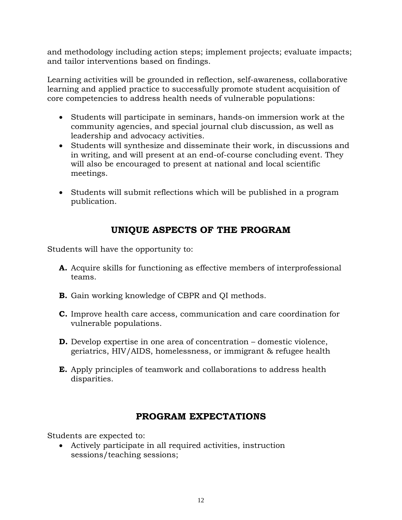and methodology including action steps; implement projects; evaluate impacts; and tailor interventions based on findings.

Learning activities will be grounded in reflection, self-awareness, collaborative learning and applied practice to successfully promote student acquisition of core competencies to address health needs of vulnerable populations:

- Students will participate in seminars, hands-on immersion work at the community agencies, and special journal club discussion, as well as leadership and advocacy activities.
- Students will synthesize and disseminate their work, in discussions and in writing, and will present at an end-of-course concluding event. They will also be encouraged to present at national and local scientific meetings.
- Students will submit reflections which will be published in a program publication.

## **UNIQUE ASPECTS OF THE PROGRAM**

Students will have the opportunity to:

- **A.** Acquire skills for functioning as effective members of interprofessional teams.
- **B.** Gain working knowledge of CBPR and QI methods.
- **C.** Improve health care access, communication and care coordination for vulnerable populations.
- **D.** Develop expertise in one area of concentration domestic violence, geriatrics, HIV/AIDS, homelessness, or immigrant & refugee health
- **E.** Apply principles of teamwork and collaborations to address health disparities.

## **PROGRAM EXPECTATIONS**

Students are expected to:

• Actively participate in all required activities, instruction sessions/teaching sessions;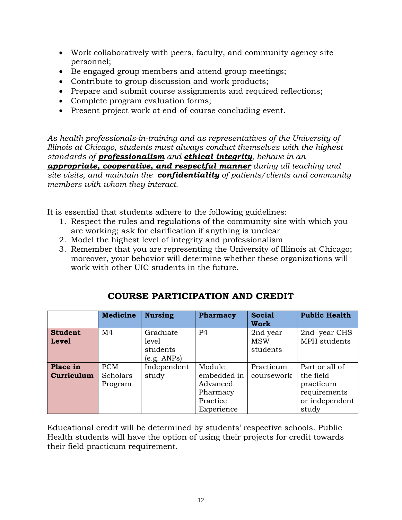- Work collaboratively with peers, faculty, and community agency site personnel;
- Be engaged group members and attend group meetings;
- Contribute to group discussion and work products;
- Prepare and submit course assignments and required reflections;
- Complete program evaluation forms;
- Present project work at end-of-course concluding event.

*As health professionals-in-training and as representatives of the University of Illinois at Chicago, students must always conduct themselves with the highest standards of professionalism and ethical integrity, behave in an appropriate, cooperative, and respectful manner during all teaching and site visits, and maintain the confidentiality of patients/clients and community members with whom they interact.*

It is essential that students adhere to the following guidelines:

- 1. Respect the rules and regulations of the community site with which you are working; ask for clarification if anything is unclear
- 2. Model the highest level of integrity and professionalism
- 3. Remember that you are representing the University of Illinois at Chicago; moreover, your behavior will determine whether these organizations will work with other UIC students in the future.

|                | <b>Medicine</b> | <b>Nursing</b> | <b>Pharmacy</b> | <b>Social</b><br>Work | <b>Public Health</b> |
|----------------|-----------------|----------------|-----------------|-----------------------|----------------------|
| <b>Student</b> | M <sub>4</sub>  | Graduate       | P <sub>4</sub>  | 2nd year              | 2nd year CHS         |
| <b>Level</b>   |                 | level          |                 | <b>MSW</b>            | MPH students         |
|                |                 | students       |                 | students              |                      |
|                |                 | (e.g. ANPs)    |                 |                       |                      |
| Place in       | <b>PCM</b>      | Independent    | Module          | Practicum             | Part or all of       |
| Curriculum     | Scholars        | study          | embedded in     | coursework            | the field            |
|                | Program         |                | Advanced        |                       | practicum            |
|                |                 |                | Pharmacy        |                       | requirements         |
|                |                 |                | Practice        |                       | or independent       |
|                |                 |                | Experience      |                       | study                |

## **COURSE PARTICIPATION AND CREDIT**

Educational credit will be determined by students' respective schools. Public Health students will have the option of using their projects for credit towards their field practicum requirement.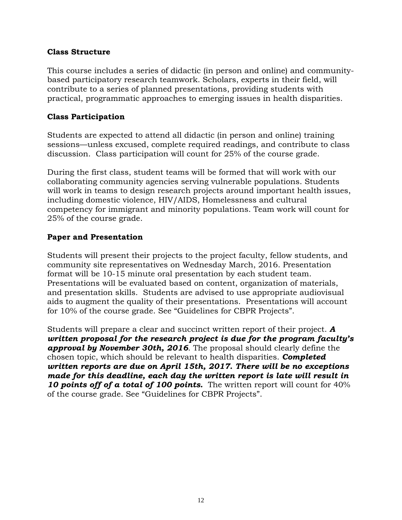#### **Class Structure**

This course includes a series of didactic (in person and online) and communitybased participatory research teamwork. Scholars, experts in their field, will contribute to a series of planned presentations, providing students with practical, programmatic approaches to emerging issues in health disparities.

#### **Class Participation**

Students are expected to attend all didactic (in person and online) training sessions—unless excused, complete required readings, and contribute to class discussion. Class participation will count for 25% of the course grade.

During the first class, student teams will be formed that will work with our collaborating community agencies serving vulnerable populations. Students will work in teams to design research projects around important health issues, including domestic violence, HIV/AIDS, Homelessness and cultural competency for immigrant and minority populations. Team work will count for 25% of the course grade.

#### **Paper and Presentation**

Students will present their projects to the project faculty, fellow students, and community site representatives on Wednesday March, 2016. Presentation format will be 10-15 minute oral presentation by each student team. Presentations will be evaluated based on content, organization of materials, and presentation skills. Students are advised to use appropriate audiovisual aids to augment the quality of their presentations. Presentations will account for 10% of the course grade. See "Guidelines for CBPR Projects".

Students will prepare a clear and succinct written report of their project. *A written proposal for the research project is due for the program faculty's approval by November 30th, 2016*. The proposal should clearly define the chosen topic, which should be relevant to health disparities. *Completed written reports are due on April 15th, 2017. There will be no exceptions made for this deadline, each day the written report is late will result in 10 points off of a total of 100 points.* The written report will count for 40% of the course grade. See "Guidelines for CBPR Projects".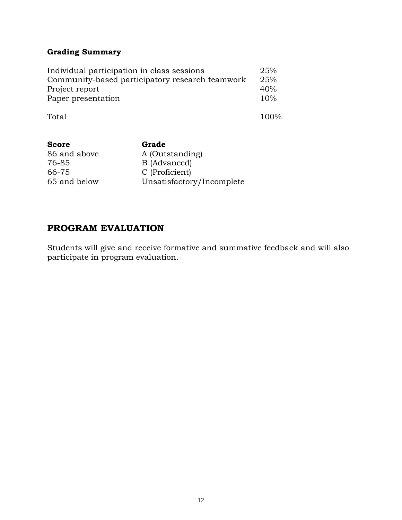## **Grading Summary**

| Individual participation in class sessions<br>Community-based participatory research teamwork |            |  |
|-----------------------------------------------------------------------------------------------|------------|--|
| Project report<br>Paper presentation                                                          | 40%<br>10% |  |
| Total                                                                                         | $100\%$    |  |

| <b>Score</b> | Grade                     |
|--------------|---------------------------|
| 86 and above | A (Outstanding)           |
| 76-85        | B (Advanced)              |
| 66-75        | C (Proficient)            |
| 65 and below | Unsatisfactory/Incomplete |

## **PROGRAM EVALUATION**

Students will give and receive formative and summative feedback and will also participate in program evaluation.

 $\overline{\phantom{0}}$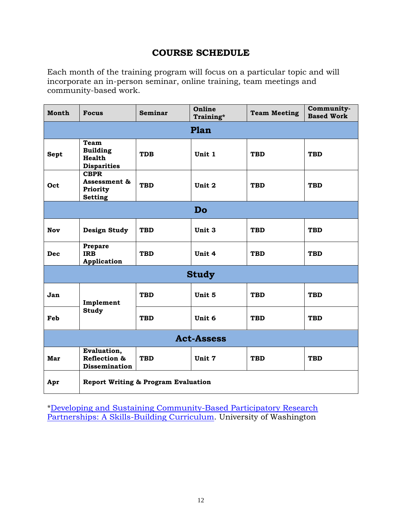## **COURSE SCHEDULE**

Each month of the training program will focus on a particular topic and will incorporate an in-person seminar, online training, team meetings and community-based work.

| <b>Month</b>      | <b>Focus</b>                                                          | Seminar    | Online<br>Training* | <b>Team Meeting</b> | Community-<br><b>Based Work</b> |  |
|-------------------|-----------------------------------------------------------------------|------------|---------------------|---------------------|---------------------------------|--|
| Plan              |                                                                       |            |                     |                     |                                 |  |
| Sept              | <b>Team</b><br><b>Building</b><br><b>Health</b><br><b>Disparities</b> | <b>TDB</b> | Unit 1              | <b>TBD</b>          | <b>TBD</b>                      |  |
| Oct               | <b>CBPR</b><br>Assessment &<br>Priority<br><b>Setting</b>             | <b>TBD</b> | Unit 2              | <b>TBD</b>          | <b>TBD</b>                      |  |
| Do                |                                                                       |            |                     |                     |                                 |  |
| <b>Nov</b>        | Design Study                                                          | <b>TBD</b> | Unit 3              | <b>TBD</b>          | <b>TBD</b>                      |  |
| Dec               | Prepare<br><b>IRB</b><br>Application                                  | <b>TBD</b> | Unit 4              | <b>TBD</b>          | <b>TBD</b>                      |  |
| <b>Study</b>      |                                                                       |            |                     |                     |                                 |  |
| Jan               | Implement<br><b>Study</b>                                             | <b>TBD</b> | Unit 5              | <b>TBD</b>          | <b>TBD</b>                      |  |
| Feb               |                                                                       | <b>TBD</b> | Unit 6              | <b>TBD</b>          | <b>TBD</b>                      |  |
| <b>Act-Assess</b> |                                                                       |            |                     |                     |                                 |  |
| Mar               | Evaluation,<br>Reflection &<br>Dissemination                          | <b>TBD</b> | Unit 7              | <b>TBD</b>          | <b>TBD</b>                      |  |
| Apr               | <b>Report Writing &amp; Program Evaluation</b>                        |            |                     |                     |                                 |  |

[\\*Developing and Sustaining Community-Based Participatory Research](http://depts.washington.edu/ccph/cbpr/index.php)  [Partnerships: A Skills-Building Curriculum.](http://depts.washington.edu/ccph/cbpr/index.php) University of Washington